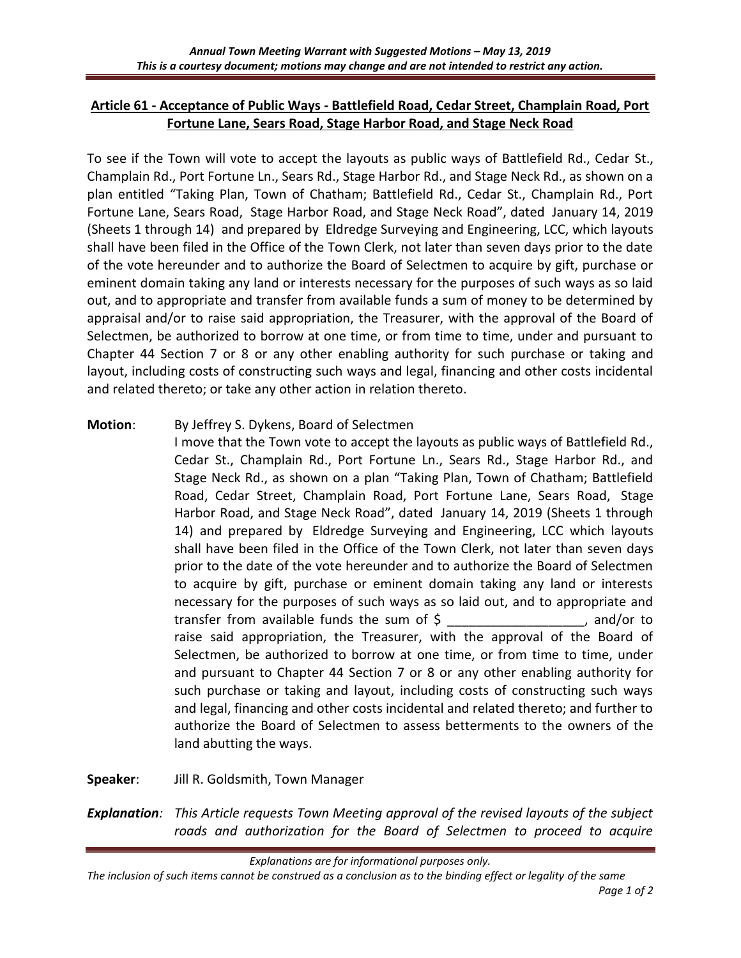## **Article 61 - Acceptance of Public Ways - Battlefield Road, Cedar Street, Champlain Road, Port Fortune Lane, Sears Road, Stage Harbor Road, and Stage Neck Road**

To see if the Town will vote to accept the layouts as public ways of Battlefield Rd., Cedar St., Champlain Rd., Port Fortune Ln., Sears Rd., Stage Harbor Rd., and Stage Neck Rd., as shown on a plan entitled "Taking Plan, Town of Chatham; Battlefield Rd., Cedar St., Champlain Rd., Port Fortune Lane, Sears Road, Stage Harbor Road, and Stage Neck Road", dated January 14, 2019 (Sheets 1 through 14) and prepared by Eldredge Surveying and Engineering, LCC, which layouts shall have been filed in the Office of the Town Clerk, not later than seven days prior to the date of the vote hereunder and to authorize the Board of Selectmen to acquire by gift, purchase or eminent domain taking any land or interests necessary for the purposes of such ways as so laid out, and to appropriate and transfer from available funds a sum of money to be determined by appraisal and/or to raise said appropriation, the Treasurer, with the approval of the Board of Selectmen, be authorized to borrow at one time, or from time to time, under and pursuant to Chapter 44 Section 7 or 8 or any other enabling authority for such purchase or taking and layout, including costs of constructing such ways and legal, financing and other costs incidental and related thereto; or take any other action in relation thereto.

## **Motion**: By Jeffrey S. Dykens, Board of Selectmen

I move that the Town vote to accept the layouts as public ways of Battlefield Rd., Cedar St., Champlain Rd., Port Fortune Ln., Sears Rd., Stage Harbor Rd., and Stage Neck Rd., as shown on a plan "Taking Plan, Town of Chatham; Battlefield Road, Cedar Street, Champlain Road, Port Fortune Lane, Sears Road, Stage Harbor Road, and Stage Neck Road", dated January 14, 2019 (Sheets 1 through 14) and prepared by Eldredge Surveying and Engineering, LCC which layouts shall have been filed in the Office of the Town Clerk, not later than seven days prior to the date of the vote hereunder and to authorize the Board of Selectmen to acquire by gift, purchase or eminent domain taking any land or interests necessary for the purposes of such ways as so laid out, and to appropriate and transfer from available funds the sum of \$ \_\_\_\_\_\_\_\_\_\_\_\_\_\_\_\_\_\_\_, and/or to raise said appropriation, the Treasurer, with the approval of the Board of Selectmen, be authorized to borrow at one time, or from time to time, under and pursuant to Chapter 44 Section 7 or 8 or any other enabling authority for such purchase or taking and layout, including costs of constructing such ways and legal, financing and other costs incidental and related thereto; and further to authorize the Board of Selectmen to assess betterments to the owners of the land abutting the ways.

**Speaker**: Jill R. Goldsmith, Town Manager

*Explanation: This Article requests Town Meeting approval of the revised layouts of the subject roads and authorization for the Board of Selectmen to proceed to acquire* 

*Explanations are for informational purposes only.* 

*The inclusion of such items cannot be construed as a conclusion as to the binding effect or legality of the same*